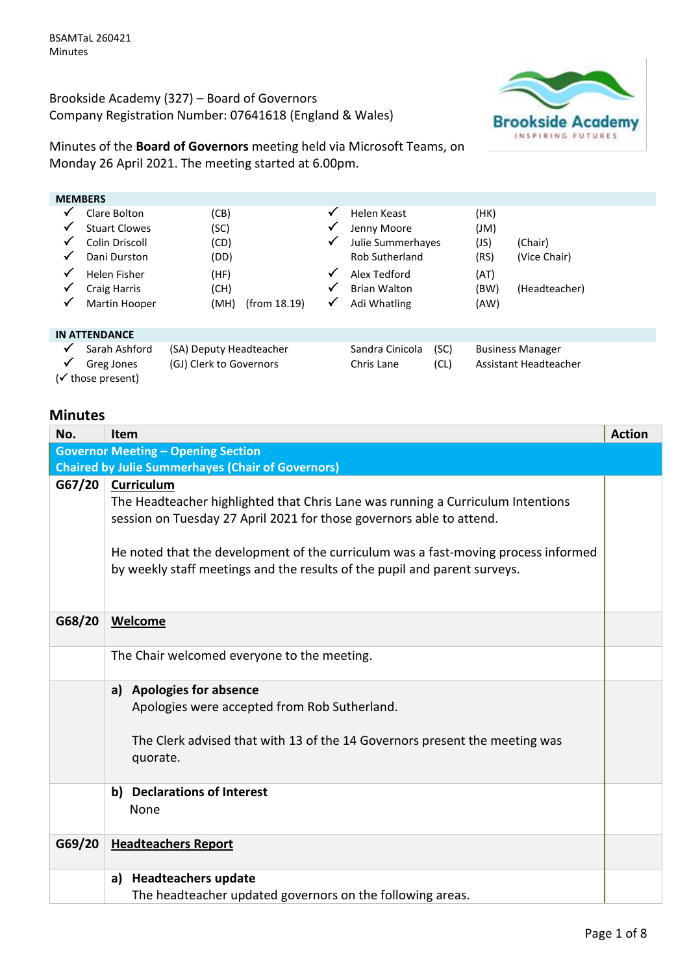Brookside Academy (327) – Board of Governors Company Registration Number: 07641618 (England & Wales)



Minutes of the **Board of Governors** meeting held via Microsoft Teams, on Monday 26 April 2021. The meeting started at 6.00pm.

|   | <b>MEMBERS</b>       |                         |              |                       |      |      |                         |  |
|---|----------------------|-------------------------|--------------|-----------------------|------|------|-------------------------|--|
| ✔ | Clare Bolton         | (CB)                    | ✓            | Helen Keast           |      | (HK) |                         |  |
| ✔ | <b>Stuart Clowes</b> | (SC)                    | ✓            | Jenny Moore           |      | J(M) |                         |  |
| ✔ | Colin Driscoll       | (CD)                    | ✓            | Julie Summerhayes     |      | (JS) | (Chair)                 |  |
| ✔ | Dani Durston         | (DD)                    |              | <b>Rob Sutherland</b> |      | (RS) | (Vice Chair)            |  |
| ✓ | Helen Fisher         | (HF)                    | $\checkmark$ | Alex Tedford          |      | (AT) |                         |  |
| ✔ | Craig Harris         | (CH)                    | ✓            | <b>Brian Walton</b>   |      | (BW) | (Headteacher)           |  |
| ✔ | Martin Hooper        | (MH)<br>(from 18.19)    | ✓            | Adi Whatling          |      | (AW) |                         |  |
|   |                      |                         |              |                       |      |      |                         |  |
|   | <b>IN ATTENDANCE</b> |                         |              |                       |      |      |                         |  |
| ✔ | Sarah Ashford        | (SA) Deputy Headteacher |              | Sandra Cinicola       | (SC) |      | <b>Business Manager</b> |  |
| ✔ | Greg Jones           | (GJ) Clerk to Governors |              | Chris Lane            | (CL) |      | Assistant Headteacher   |  |
|   | (√ those present)    |                         |              |                       |      |      |                         |  |

## **Minutes**

| No.                                       | <b>Item</b>                                                                                                                                                                                                                                                                                                                              | <b>Action</b> |  |  |
|-------------------------------------------|------------------------------------------------------------------------------------------------------------------------------------------------------------------------------------------------------------------------------------------------------------------------------------------------------------------------------------------|---------------|--|--|
| <b>Governor Meeting - Opening Section</b> |                                                                                                                                                                                                                                                                                                                                          |               |  |  |
|                                           | <b>Chaired by Julie Summerhayes (Chair of Governors)</b>                                                                                                                                                                                                                                                                                 |               |  |  |
| G67/20                                    | Curriculum<br>The Headteacher highlighted that Chris Lane was running a Curriculum Intentions<br>session on Tuesday 27 April 2021 for those governors able to attend.<br>He noted that the development of the curriculum was a fast-moving process informed<br>by weekly staff meetings and the results of the pupil and parent surveys. |               |  |  |
| G68/20                                    | Welcome                                                                                                                                                                                                                                                                                                                                  |               |  |  |
|                                           | The Chair welcomed everyone to the meeting.                                                                                                                                                                                                                                                                                              |               |  |  |
|                                           | <b>Apologies for absence</b><br>a)                                                                                                                                                                                                                                                                                                       |               |  |  |
|                                           | Apologies were accepted from Rob Sutherland.                                                                                                                                                                                                                                                                                             |               |  |  |
|                                           | The Clerk advised that with 13 of the 14 Governors present the meeting was<br>quorate.                                                                                                                                                                                                                                                   |               |  |  |
|                                           | <b>Declarations of Interest</b><br>b)<br>None                                                                                                                                                                                                                                                                                            |               |  |  |
| G69/20                                    | <b>Headteachers Report</b>                                                                                                                                                                                                                                                                                                               |               |  |  |
|                                           | <b>Headteachers update</b><br>a)                                                                                                                                                                                                                                                                                                         |               |  |  |
|                                           | The headteacher updated governors on the following areas.                                                                                                                                                                                                                                                                                |               |  |  |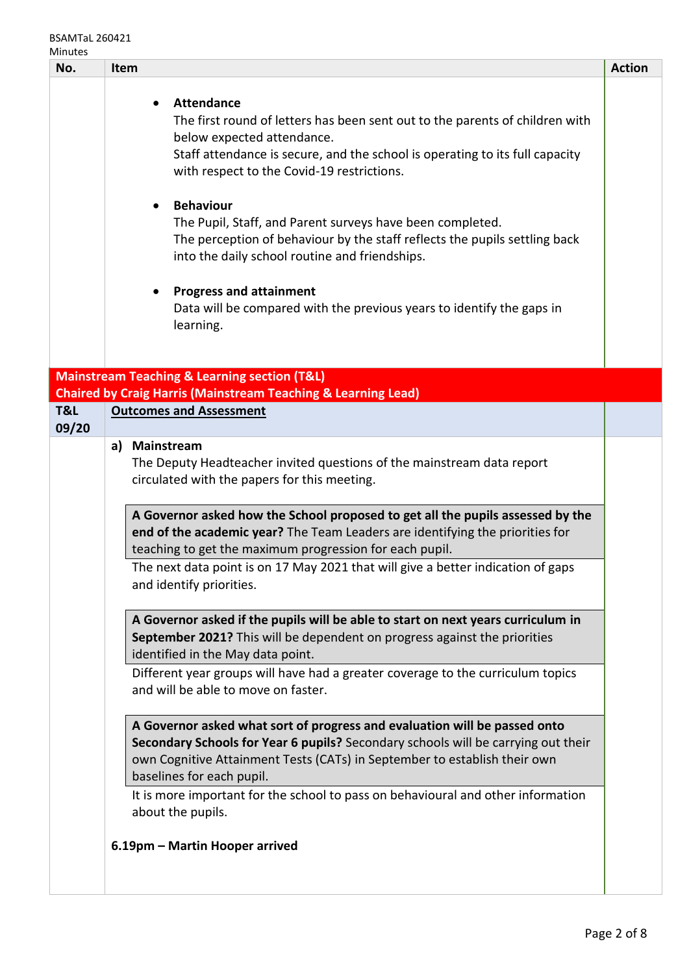## BSAMTaL 260421 Minutes

| No.          | Item                                                                                                                                                                                                                                                                                                                                                                                                                                                                                                                                                                                                                                                                                                                                                                                                                            | <b>Action</b> |
|--------------|---------------------------------------------------------------------------------------------------------------------------------------------------------------------------------------------------------------------------------------------------------------------------------------------------------------------------------------------------------------------------------------------------------------------------------------------------------------------------------------------------------------------------------------------------------------------------------------------------------------------------------------------------------------------------------------------------------------------------------------------------------------------------------------------------------------------------------|---------------|
|              | <b>Attendance</b><br>The first round of letters has been sent out to the parents of children with<br>below expected attendance.<br>Staff attendance is secure, and the school is operating to its full capacity<br>with respect to the Covid-19 restrictions.<br><b>Behaviour</b><br>$\bullet$<br>The Pupil, Staff, and Parent surveys have been completed.<br>The perception of behaviour by the staff reflects the pupils settling back<br>into the daily school routine and friendships.<br><b>Progress and attainment</b><br>٠<br>Data will be compared with the previous years to identify the gaps in<br>learning.                                                                                                                                                                                                        |               |
|              | <b>Mainstream Teaching &amp; Learning section (T&amp;L)</b>                                                                                                                                                                                                                                                                                                                                                                                                                                                                                                                                                                                                                                                                                                                                                                     |               |
|              | <b>Chaired by Craig Harris (Mainstream Teaching &amp; Learning Lead)</b>                                                                                                                                                                                                                                                                                                                                                                                                                                                                                                                                                                                                                                                                                                                                                        |               |
| T&L<br>09/20 | <b>Outcomes and Assessment</b>                                                                                                                                                                                                                                                                                                                                                                                                                                                                                                                                                                                                                                                                                                                                                                                                  |               |
|              | <b>Mainstream</b><br>a)<br>The Deputy Headteacher invited questions of the mainstream data report<br>circulated with the papers for this meeting.<br>A Governor asked how the School proposed to get all the pupils assessed by the<br>end of the academic year? The Team Leaders are identifying the priorities for<br>teaching to get the maximum progression for each pupil.<br>The next data point is on 17 May 2021 that will give a better indication of gaps<br>and identify priorities.<br>A Governor asked if the pupils will be able to start on next years curriculum in<br>September 2021? This will be dependent on progress against the priorities<br>identified in the May data point.<br>Different year groups will have had a greater coverage to the curriculum topics<br>and will be able to move on faster. |               |
|              | A Governor asked what sort of progress and evaluation will be passed onto<br>Secondary Schools for Year 6 pupils? Secondary schools will be carrying out their<br>own Cognitive Attainment Tests (CATs) in September to establish their own<br>baselines for each pupil.<br>It is more important for the school to pass on behavioural and other information<br>about the pupils.                                                                                                                                                                                                                                                                                                                                                                                                                                               |               |
|              | 6.19pm - Martin Hooper arrived                                                                                                                                                                                                                                                                                                                                                                                                                                                                                                                                                                                                                                                                                                                                                                                                  |               |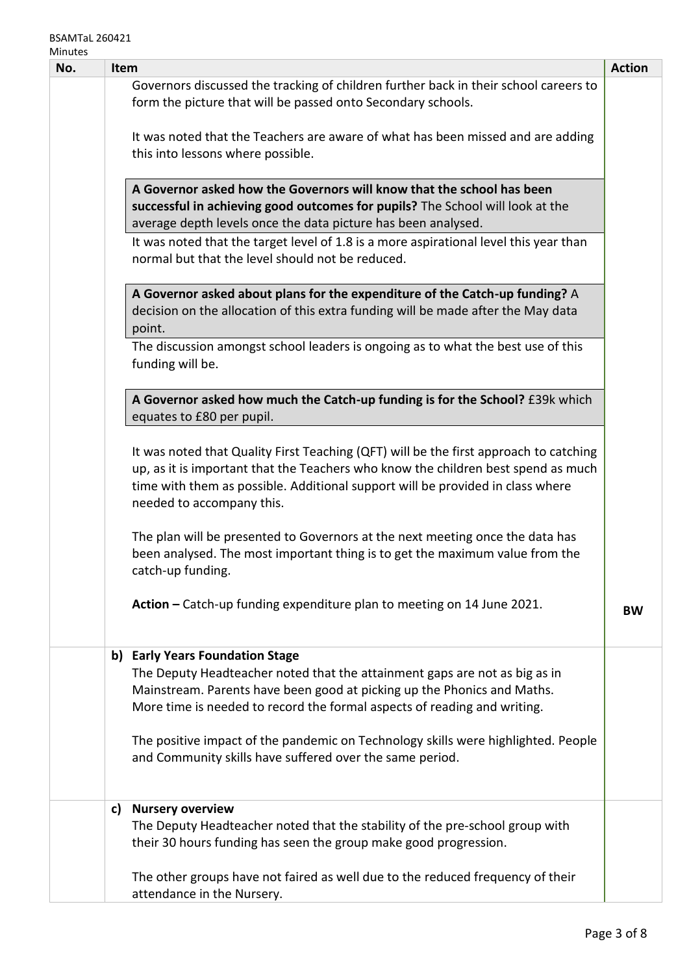| No. | <b>Item</b>                                                                                                                                                                                                                                                                               | <b>Action</b> |
|-----|-------------------------------------------------------------------------------------------------------------------------------------------------------------------------------------------------------------------------------------------------------------------------------------------|---------------|
|     | Governors discussed the tracking of children further back in their school careers to<br>form the picture that will be passed onto Secondary schools.                                                                                                                                      |               |
|     | It was noted that the Teachers are aware of what has been missed and are adding<br>this into lessons where possible.                                                                                                                                                                      |               |
|     | A Governor asked how the Governors will know that the school has been<br>successful in achieving good outcomes for pupils? The School will look at the<br>average depth levels once the data picture has been analysed.                                                                   |               |
|     | It was noted that the target level of 1.8 is a more aspirational level this year than<br>normal but that the level should not be reduced.                                                                                                                                                 |               |
|     | A Governor asked about plans for the expenditure of the Catch-up funding? A<br>decision on the allocation of this extra funding will be made after the May data<br>point.                                                                                                                 |               |
|     | The discussion amongst school leaders is ongoing as to what the best use of this<br>funding will be.                                                                                                                                                                                      |               |
|     | A Governor asked how much the Catch-up funding is for the School? £39k which<br>equates to £80 per pupil.                                                                                                                                                                                 |               |
|     | It was noted that Quality First Teaching (QFT) will be the first approach to catching<br>up, as it is important that the Teachers who know the children best spend as much<br>time with them as possible. Additional support will be provided in class where<br>needed to accompany this. |               |
|     | The plan will be presented to Governors at the next meeting once the data has<br>been analysed. The most important thing is to get the maximum value from the<br>catch-up funding.                                                                                                        |               |
|     | Action - Catch-up funding expenditure plan to meeting on 14 June 2021.                                                                                                                                                                                                                    | <b>BW</b>     |
|     | b) Early Years Foundation Stage<br>The Deputy Headteacher noted that the attainment gaps are not as big as in<br>Mainstream. Parents have been good at picking up the Phonics and Maths.<br>More time is needed to record the formal aspects of reading and writing.                      |               |
|     | The positive impact of the pandemic on Technology skills were highlighted. People<br>and Community skills have suffered over the same period.                                                                                                                                             |               |
|     | <b>Nursery overview</b><br>c)<br>The Deputy Headteacher noted that the stability of the pre-school group with<br>their 30 hours funding has seen the group make good progression.                                                                                                         |               |
|     | The other groups have not faired as well due to the reduced frequency of their<br>attendance in the Nursery.                                                                                                                                                                              |               |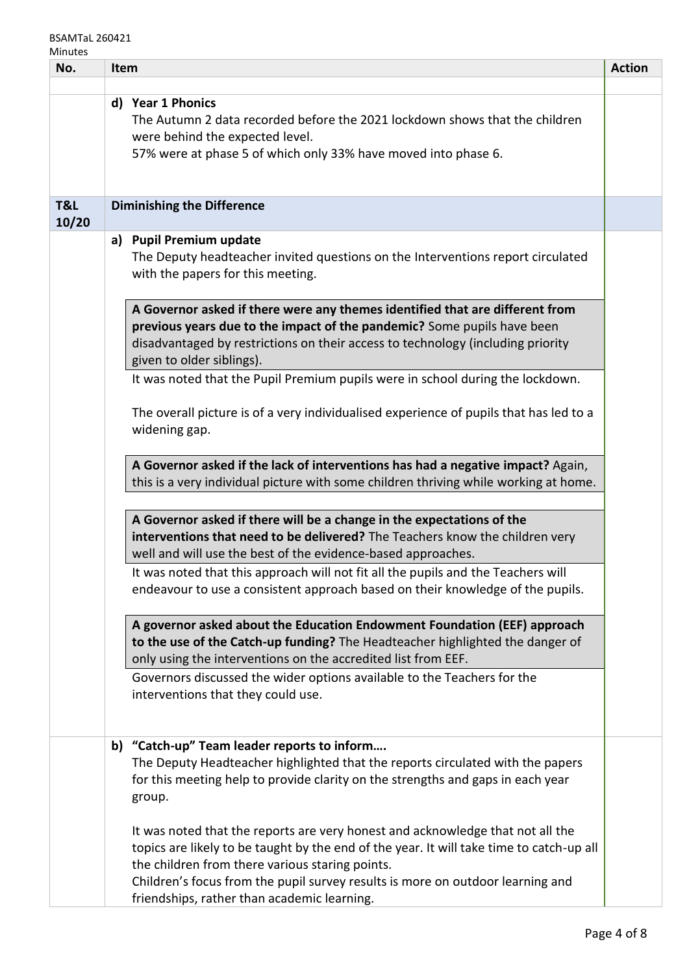## BSAMTaL 260421 Minutes

| No.          | Item |                                                                                                                                                                                                                                                                                                                                                                | <b>Action</b> |
|--------------|------|----------------------------------------------------------------------------------------------------------------------------------------------------------------------------------------------------------------------------------------------------------------------------------------------------------------------------------------------------------------|---------------|
|              |      |                                                                                                                                                                                                                                                                                                                                                                |               |
|              |      | d) Year 1 Phonics<br>The Autumn 2 data recorded before the 2021 lockdown shows that the children<br>were behind the expected level.<br>57% were at phase 5 of which only 33% have moved into phase 6.                                                                                                                                                          |               |
| T&L<br>10/20 |      | <b>Diminishing the Difference</b>                                                                                                                                                                                                                                                                                                                              |               |
|              |      | a) Pupil Premium update<br>The Deputy headteacher invited questions on the Interventions report circulated<br>with the papers for this meeting.                                                                                                                                                                                                                |               |
|              |      | A Governor asked if there were any themes identified that are different from<br>previous years due to the impact of the pandemic? Some pupils have been<br>disadvantaged by restrictions on their access to technology (including priority<br>given to older siblings).<br>It was noted that the Pupil Premium pupils were in school during the lockdown.      |               |
|              |      | The overall picture is of a very individualised experience of pupils that has led to a<br>widening gap.                                                                                                                                                                                                                                                        |               |
|              |      | A Governor asked if the lack of interventions has had a negative impact? Again,<br>this is a very individual picture with some children thriving while working at home.                                                                                                                                                                                        |               |
|              |      | A Governor asked if there will be a change in the expectations of the<br>interventions that need to be delivered? The Teachers know the children very<br>well and will use the best of the evidence-based approaches.                                                                                                                                          |               |
|              |      | It was noted that this approach will not fit all the pupils and the Teachers will<br>endeavour to use a consistent approach based on their knowledge of the pupils.                                                                                                                                                                                            |               |
|              |      | A governor asked about the Education Endowment Foundation (EEF) approach<br>to the use of the Catch-up funding? The Headteacher highlighted the danger of<br>only using the interventions on the accredited list from EEF.                                                                                                                                     |               |
|              |      | Governors discussed the wider options available to the Teachers for the<br>interventions that they could use.                                                                                                                                                                                                                                                  |               |
|              | b)   | "Catch-up" Team leader reports to inform<br>The Deputy Headteacher highlighted that the reports circulated with the papers<br>for this meeting help to provide clarity on the strengths and gaps in each year<br>group.                                                                                                                                        |               |
|              |      | It was noted that the reports are very honest and acknowledge that not all the<br>topics are likely to be taught by the end of the year. It will take time to catch-up all<br>the children from there various staring points.<br>Children's focus from the pupil survey results is more on outdoor learning and<br>friendships, rather than academic learning. |               |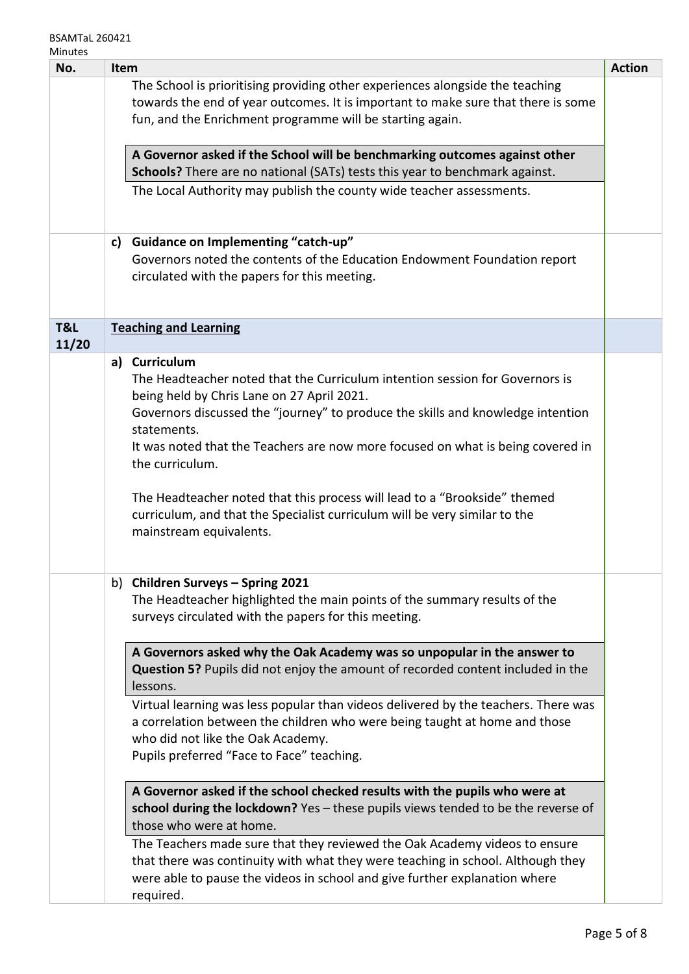| No.          | Item                                                                                                                                                                                                                                                                                                                                                                                                                                                                                                                                      |  | <b>Action</b> |
|--------------|-------------------------------------------------------------------------------------------------------------------------------------------------------------------------------------------------------------------------------------------------------------------------------------------------------------------------------------------------------------------------------------------------------------------------------------------------------------------------------------------------------------------------------------------|--|---------------|
|              | The School is prioritising providing other experiences alongside the teaching<br>towards the end of year outcomes. It is important to make sure that there is some<br>fun, and the Enrichment programme will be starting again.                                                                                                                                                                                                                                                                                                           |  |               |
|              | A Governor asked if the School will be benchmarking outcomes against other<br>Schools? There are no national (SATs) tests this year to benchmark against.<br>The Local Authority may publish the county wide teacher assessments.                                                                                                                                                                                                                                                                                                         |  |               |
|              | <b>Guidance on Implementing "catch-up"</b><br>c)<br>Governors noted the contents of the Education Endowment Foundation report<br>circulated with the papers for this meeting.                                                                                                                                                                                                                                                                                                                                                             |  |               |
| T&L<br>11/20 | <b>Teaching and Learning</b>                                                                                                                                                                                                                                                                                                                                                                                                                                                                                                              |  |               |
|              | a) Curriculum<br>The Headteacher noted that the Curriculum intention session for Governors is<br>being held by Chris Lane on 27 April 2021.<br>Governors discussed the "journey" to produce the skills and knowledge intention<br>statements.<br>It was noted that the Teachers are now more focused on what is being covered in<br>the curriculum.<br>The Headteacher noted that this process will lead to a "Brookside" themed<br>curriculum, and that the Specialist curriculum will be very similar to the<br>mainstream equivalents. |  |               |
|              | b) Children Surveys - Spring 2021<br>The Headteacher highlighted the main points of the summary results of the<br>surveys circulated with the papers for this meeting.                                                                                                                                                                                                                                                                                                                                                                    |  |               |
|              | A Governors asked why the Oak Academy was so unpopular in the answer to<br>Question 5? Pupils did not enjoy the amount of recorded content included in the<br>lessons.<br>Virtual learning was less popular than videos delivered by the teachers. There was<br>a correlation between the children who were being taught at home and those<br>who did not like the Oak Academy.<br>Pupils preferred "Face to Face" teaching.                                                                                                              |  |               |
|              | A Governor asked if the school checked results with the pupils who were at<br>school during the lockdown? Yes - these pupils views tended to be the reverse of<br>those who were at home.<br>The Teachers made sure that they reviewed the Oak Academy videos to ensure<br>that there was continuity with what they were teaching in school. Although they<br>were able to pause the videos in school and give further explanation where<br>required.                                                                                     |  |               |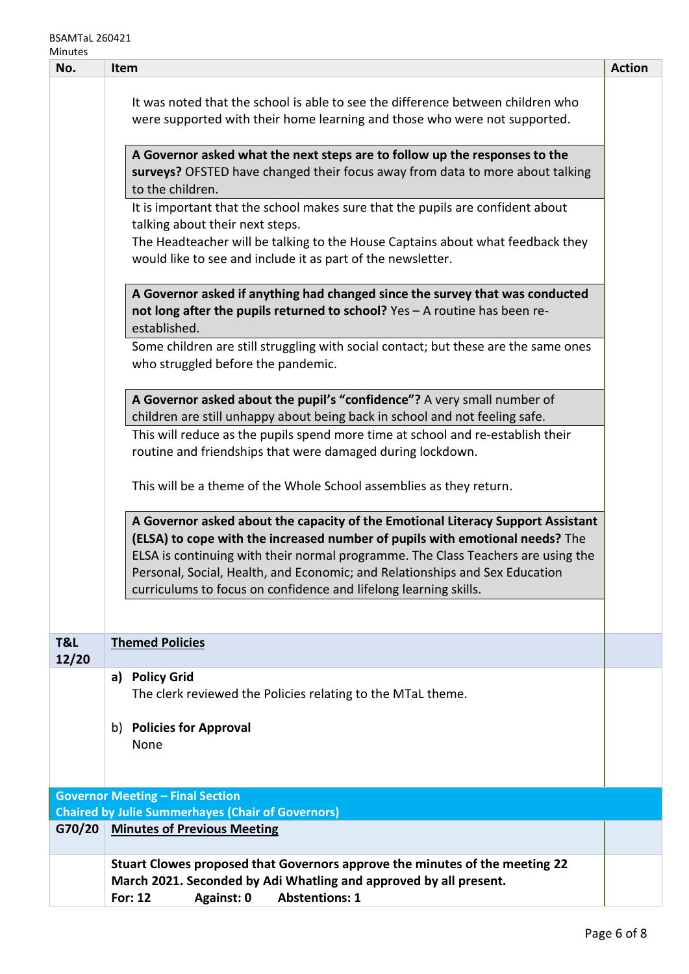| No.          | Item                                                                                                                                                                                                                                                                                                                                                                                                   | <b>Action</b> |
|--------------|--------------------------------------------------------------------------------------------------------------------------------------------------------------------------------------------------------------------------------------------------------------------------------------------------------------------------------------------------------------------------------------------------------|---------------|
|              | It was noted that the school is able to see the difference between children who<br>were supported with their home learning and those who were not supported.                                                                                                                                                                                                                                           |               |
|              | A Governor asked what the next steps are to follow up the responses to the<br>surveys? OFSTED have changed their focus away from data to more about talking<br>to the children.                                                                                                                                                                                                                        |               |
|              | It is important that the school makes sure that the pupils are confident about<br>talking about their next steps.<br>The Headteacher will be talking to the House Captains about what feedback they<br>would like to see and include it as part of the newsletter.                                                                                                                                     |               |
|              | A Governor asked if anything had changed since the survey that was conducted<br>not long after the pupils returned to school? Yes - A routine has been re-<br>established.                                                                                                                                                                                                                             |               |
|              | Some children are still struggling with social contact; but these are the same ones<br>who struggled before the pandemic.                                                                                                                                                                                                                                                                              |               |
|              | A Governor asked about the pupil's "confidence"? A very small number of<br>children are still unhappy about being back in school and not feeling safe.                                                                                                                                                                                                                                                 |               |
|              | This will reduce as the pupils spend more time at school and re-establish their<br>routine and friendships that were damaged during lockdown.                                                                                                                                                                                                                                                          |               |
|              | This will be a theme of the Whole School assemblies as they return.                                                                                                                                                                                                                                                                                                                                    |               |
|              | A Governor asked about the capacity of the Emotional Literacy Support Assistant<br>(ELSA) to cope with the increased number of pupils with emotional needs? The<br>ELSA is continuing with their normal programme. The Class Teachers are using the<br>Personal, Social, Health, and Economic; and Relationships and Sex Education<br>curriculums to focus on confidence and lifelong learning skills. |               |
| T&L<br>12/20 | <b>Themed Policies</b>                                                                                                                                                                                                                                                                                                                                                                                 |               |
|              | a) Policy Grid<br>The clerk reviewed the Policies relating to the MTaL theme.                                                                                                                                                                                                                                                                                                                          |               |
|              | <b>Policies for Approval</b><br>b)<br>None                                                                                                                                                                                                                                                                                                                                                             |               |
|              | <b>Governor Meeting - Final Section</b>                                                                                                                                                                                                                                                                                                                                                                |               |
|              | <b>Chaired by Julie Summerhayes (Chair of Governors)</b>                                                                                                                                                                                                                                                                                                                                               |               |
| G70/20       | <b>Minutes of Previous Meeting</b>                                                                                                                                                                                                                                                                                                                                                                     |               |
|              | Stuart Clowes proposed that Governors approve the minutes of the meeting 22<br>March 2021. Seconded by Adi Whatling and approved by all present.                                                                                                                                                                                                                                                       |               |
|              | <b>Abstentions: 1</b><br><b>For: 12</b><br>Against: 0                                                                                                                                                                                                                                                                                                                                                  |               |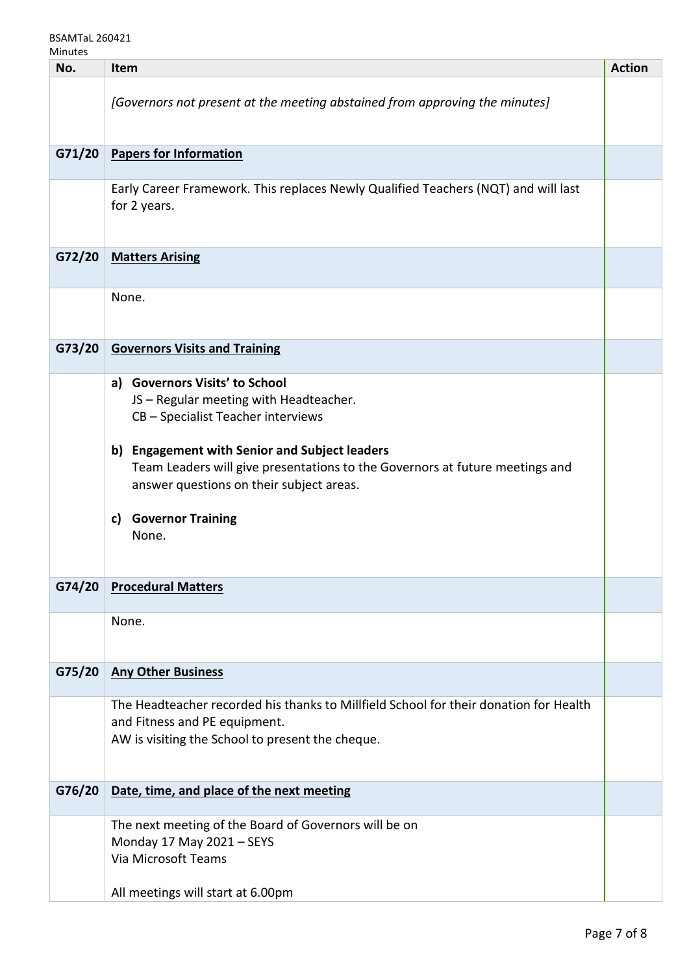| No.    | <b>Item</b>                                                                                                                                                                                                                                                                                                                                                                             | <b>Action</b> |
|--------|-----------------------------------------------------------------------------------------------------------------------------------------------------------------------------------------------------------------------------------------------------------------------------------------------------------------------------------------------------------------------------------------|---------------|
|        | [Governors not present at the meeting abstained from approving the minutes]                                                                                                                                                                                                                                                                                                             |               |
| G71/20 | <b>Papers for Information</b>                                                                                                                                                                                                                                                                                                                                                           |               |
|        | Early Career Framework. This replaces Newly Qualified Teachers (NQT) and will last<br>for 2 years.                                                                                                                                                                                                                                                                                      |               |
| G72/20 | <b>Matters Arising</b>                                                                                                                                                                                                                                                                                                                                                                  |               |
|        | None.                                                                                                                                                                                                                                                                                                                                                                                   |               |
| G73/20 | <b>Governors Visits and Training</b>                                                                                                                                                                                                                                                                                                                                                    |               |
| G74/20 | <b>Governors Visits' to School</b><br>a)<br>JS - Regular meeting with Headteacher.<br>CB - Specialist Teacher interviews<br><b>Engagement with Senior and Subject leaders</b><br>b)<br>Team Leaders will give presentations to the Governors at future meetings and<br>answer questions on their subject areas.<br><b>Governor Training</b><br>c)<br>None.<br><b>Procedural Matters</b> |               |
|        |                                                                                                                                                                                                                                                                                                                                                                                         |               |
|        | None.                                                                                                                                                                                                                                                                                                                                                                                   |               |
| G75/20 | <b>Any Other Business</b>                                                                                                                                                                                                                                                                                                                                                               |               |
|        | The Headteacher recorded his thanks to Millfield School for their donation for Health<br>and Fitness and PE equipment.<br>AW is visiting the School to present the cheque.                                                                                                                                                                                                              |               |
| G76/20 | Date, time, and place of the next meeting                                                                                                                                                                                                                                                                                                                                               |               |
|        | The next meeting of the Board of Governors will be on<br>Monday 17 May 2021 - SEYS<br>Via Microsoft Teams                                                                                                                                                                                                                                                                               |               |
|        | All meetings will start at 6.00pm                                                                                                                                                                                                                                                                                                                                                       |               |